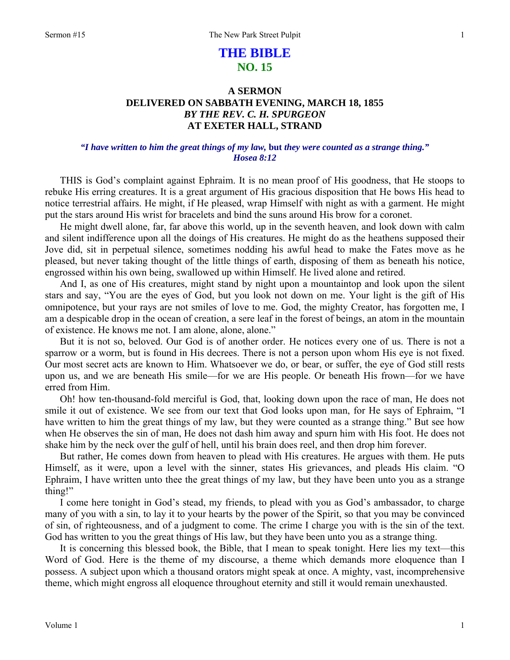# **THE BIBLE NO. 15**

# **A SERMON DELIVERED ON SABBATH EVENING, MARCH 18, 1855**  *BY THE REV. C. H. SPURGEON*  **AT EXETER HALL, STRAND**

## *"I have written to him the great things of my law,* **but** *they were counted as a strange thing." Hosea 8:12*

THIS is God's complaint against Ephraim. It is no mean proof of His goodness, that He stoops to rebuke His erring creatures. It is a great argument of His gracious disposition that He bows His head to notice terrestrial affairs. He might, if He pleased, wrap Himself with night as with a garment. He might put the stars around His wrist for bracelets and bind the suns around His brow for a coronet.

He might dwell alone, far, far above this world, up in the seventh heaven, and look down with calm and silent indifference upon all the doings of His creatures. He might do as the heathens supposed their Jove did, sit in perpetual silence, sometimes nodding his awful head to make the Fates move as he pleased, but never taking thought of the little things of earth, disposing of them as beneath his notice, engrossed within his own being, swallowed up within Himself. He lived alone and retired.

And I, as one of His creatures, might stand by night upon a mountaintop and look upon the silent stars and say, "You are the eyes of God, but you look not down on me. Your light is the gift of His omnipotence, but your rays are not smiles of love to me. God, the mighty Creator, has forgotten me, I am a despicable drop in the ocean of creation, a sere leaf in the forest of beings, an atom in the mountain of existence. He knows me not. I am alone, alone, alone."

But it is not so, beloved. Our God is of another order. He notices every one of us. There is not a sparrow or a worm, but is found in His decrees. There is not a person upon whom His eye is not fixed. Our most secret acts are known to Him. Whatsoever we do, or bear, or suffer, the eye of God still rests upon us, and we are beneath His smile—for we are His people. Or beneath His frown—for we have erred from Him.

Oh! how ten-thousand-fold merciful is God, that, looking down upon the race of man, He does not smile it out of existence. We see from our text that God looks upon man, for He says of Ephraim, "I have written to him the great things of my law, but they were counted as a strange thing." But see how when He observes the sin of man, He does not dash him away and spurn him with His foot. He does not shake him by the neck over the gulf of hell, until his brain does reel, and then drop him forever.

But rather, He comes down from heaven to plead with His creatures. He argues with them. He puts Himself, as it were, upon a level with the sinner, states His grievances, and pleads His claim. "O Ephraim, I have written unto thee the great things of my law, but they have been unto you as a strange thing!"

I come here tonight in God's stead, my friends, to plead with you as God's ambassador, to charge many of you with a sin, to lay it to your hearts by the power of the Spirit, so that you may be convinced of sin, of righteousness, and of a judgment to come. The crime I charge you with is the sin of the text. God has written to you the great things of His law, but they have been unto you as a strange thing.

It is concerning this blessed book, the Bible, that I mean to speak tonight. Here lies my text—this Word of God. Here is the theme of my discourse, a theme which demands more eloquence than I possess. A subject upon which a thousand orators might speak at once. A mighty, vast, incomprehensive theme, which might engross all eloquence throughout eternity and still it would remain unexhausted.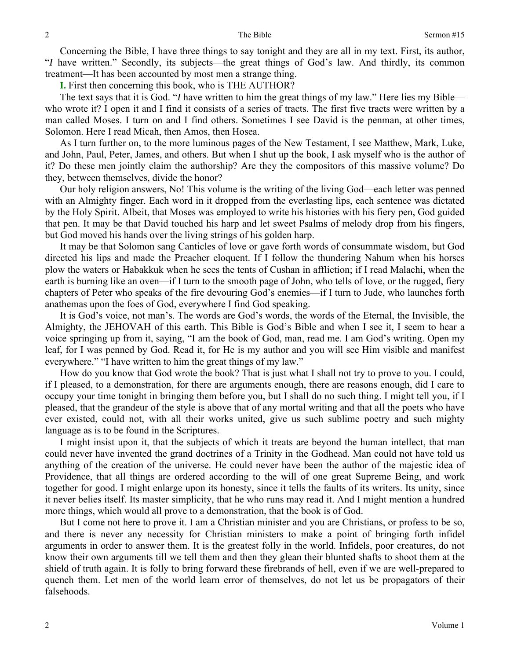Concerning the Bible, I have three things to say tonight and they are all in my text. First, its author, "*I* have written." Secondly, its subjects—the great things of God's law. And thirdly, its common treatment—It has been accounted by most men a strange thing.

**I.** First then concerning this book, who is THE AUTHOR?

The text says that it is God. "*I* have written to him the great things of my law." Here lies my Bible who wrote it? I open it and I find it consists of a series of tracts. The first five tracts were written by a man called Moses. I turn on and I find others. Sometimes I see David is the penman, at other times, Solomon. Here I read Micah, then Amos, then Hosea.

As I turn further on, to the more luminous pages of the New Testament, I see Matthew, Mark, Luke, and John, Paul, Peter, James, and others. But when I shut up the book, I ask myself who is the author of it? Do these men jointly claim the authorship? Are they the compositors of this massive volume? Do they, between themselves, divide the honor?

Our holy religion answers, No! This volume is the writing of the living God—each letter was penned with an Almighty finger. Each word in it dropped from the everlasting lips, each sentence was dictated by the Holy Spirit. Albeit, that Moses was employed to write his histories with his fiery pen, God guided that pen. It may be that David touched his harp and let sweet Psalms of melody drop from his fingers, but God moved his hands over the living strings of his golden harp.

It may be that Solomon sang Canticles of love or gave forth words of consummate wisdom, but God directed his lips and made the Preacher eloquent. If I follow the thundering Nahum when his horses plow the waters or Habakkuk when he sees the tents of Cushan in affliction; if I read Malachi, when the earth is burning like an oven—if I turn to the smooth page of John, who tells of love, or the rugged, fiery chapters of Peter who speaks of the fire devouring God's enemies—if I turn to Jude, who launches forth anathemas upon the foes of God, everywhere I find God speaking.

It is God's voice, not man's. The words are God's words, the words of the Eternal, the Invisible, the Almighty, the JEHOVAH of this earth. This Bible is God's Bible and when I see it, I seem to hear a voice springing up from it, saying, "I am the book of God, man, read me. I am God's writing. Open my leaf, for I was penned by God. Read it, for He is my author and you will see Him visible and manifest everywhere." "I have written to him the great things of my law."

How do you know that God wrote the book? That is just what I shall not try to prove to you. I could, if I pleased, to a demonstration, for there are arguments enough, there are reasons enough, did I care to occupy your time tonight in bringing them before you, but I shall do no such thing. I might tell you, if I pleased, that the grandeur of the style is above that of any mortal writing and that all the poets who have ever existed, could not, with all their works united, give us such sublime poetry and such mighty language as is to be found in the Scriptures.

I might insist upon it, that the subjects of which it treats are beyond the human intellect, that man could never have invented the grand doctrines of a Trinity in the Godhead. Man could not have told us anything of the creation of the universe. He could never have been the author of the majestic idea of Providence, that all things are ordered according to the will of one great Supreme Being, and work together for good. I might enlarge upon its honesty, since it tells the faults of its writers. Its unity, since it never belies itself. Its master simplicity, that he who runs may read it. And I might mention a hundred more things, which would all prove to a demonstration, that the book is of God.

But I come not here to prove it. I am a Christian minister and you are Christians, or profess to be so, and there is never any necessity for Christian ministers to make a point of bringing forth infidel arguments in order to answer them. It is the greatest folly in the world. Infidels, poor creatures, do not know their own arguments till we tell them and then they glean their blunted shafts to shoot them at the shield of truth again. It is folly to bring forward these firebrands of hell, even if we are well-prepared to quench them. Let men of the world learn error of themselves, do not let us be propagators of their falsehoods.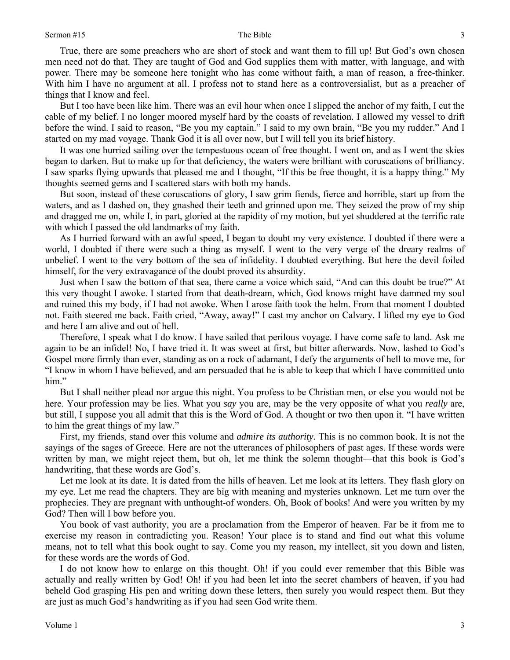### Sermon #15 The Bible

True, there are some preachers who are short of stock and want them to fill up! But God's own chosen men need not do that. They are taught of God and God supplies them with matter, with language, and with power. There may be someone here tonight who has come without faith, a man of reason, a free-thinker. With him I have no argument at all. I profess not to stand here as a controversialist, but as a preacher of things that I know and feel.

But I too have been like him. There was an evil hour when once I slipped the anchor of my faith, I cut the cable of my belief. I no longer moored myself hard by the coasts of revelation. I allowed my vessel to drift before the wind. I said to reason, "Be you my captain." I said to my own brain, "Be you my rudder." And I started on my mad voyage. Thank God it is all over now, but I will tell you its brief history.

It was one hurried sailing over the tempestuous ocean of free thought. I went on, and as I went the skies began to darken. But to make up for that deficiency, the waters were brilliant with coruscations of brilliancy. I saw sparks flying upwards that pleased me and I thought, "If this be free thought, it is a happy thing." My thoughts seemed gems and I scattered stars with both my hands.

But soon, instead of these coruscations of glory, I saw grim fiends, fierce and horrible, start up from the waters, and as I dashed on, they gnashed their teeth and grinned upon me. They seized the prow of my ship and dragged me on, while I, in part, gloried at the rapidity of my motion, but yet shuddered at the terrific rate with which I passed the old landmarks of my faith.

As I hurried forward with an awful speed, I began to doubt my very existence. I doubted if there were a world, I doubted if there were such a thing as myself. I went to the very verge of the dreary realms of unbelief. I went to the very bottom of the sea of infidelity. I doubted everything. But here the devil foiled himself, for the very extravagance of the doubt proved its absurdity.

Just when I saw the bottom of that sea, there came a voice which said, "And can this doubt be true?" At this very thought I awoke. I started from that death-dream, which, God knows might have damned my soul and ruined this my body, if I had not awoke. When I arose faith took the helm. From that moment I doubted not. Faith steered me back. Faith cried, "Away, away!" I cast my anchor on Calvary. I lifted my eye to God and here I am alive and out of hell.

Therefore, I speak what I do know. I have sailed that perilous voyage. I have come safe to land. Ask me again to be an infidel! No, I have tried it. It was sweet at first, but bitter afterwards. Now, lashed to God's Gospel more firmly than ever, standing as on a rock of adamant, I defy the arguments of hell to move me, for "I know in whom I have believed, and am persuaded that he is able to keep that which I have committed unto him."

But I shall neither plead nor argue this night. You profess to be Christian men, or else you would not be here. Your profession may be lies. What you *say* you are, may be the very opposite of what you *really* are, but still, I suppose you all admit that this is the Word of God. A thought or two then upon it. "I have written to him the great things of my law."

First, my friends, stand over this volume and *admire its authority.* This is no common book. It is not the sayings of the sages of Greece. Here are not the utterances of philosophers of past ages. If these words were written by man, we might reject them, but oh, let me think the solemn thought—that this book is God's handwriting, that these words are God's.

Let me look at its date. It is dated from the hills of heaven. Let me look at its letters. They flash glory on my eye. Let me read the chapters. They are big with meaning and mysteries unknown. Let me turn over the prophecies. They are pregnant with unthought-of wonders. Oh, Book of books! And were you written by my God? Then will I bow before you.

You book of vast authority, you are a proclamation from the Emperor of heaven. Far be it from me to exercise my reason in contradicting you. Reason! Your place is to stand and find out what this volume means, not to tell what this book ought to say. Come you my reason, my intellect, sit you down and listen, for these words are the words of God.

I do not know how to enlarge on this thought. Oh! if you could ever remember that this Bible was actually and really written by God! Oh! if you had been let into the secret chambers of heaven, if you had beheld God grasping His pen and writing down these letters, then surely you would respect them. But they are just as much God's handwriting as if you had seen God write them.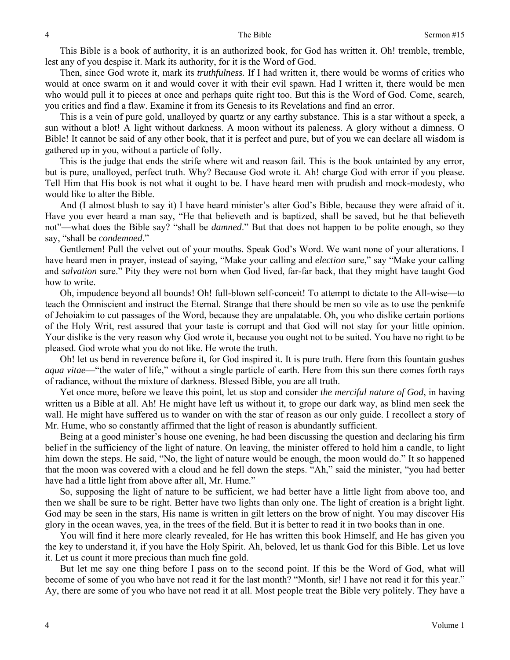This Bible is a book of authority, it is an authorized book, for God has written it. Oh! tremble, tremble, lest any of you despise it. Mark its authority, for it is the Word of God.

Then, since God wrote it, mark its *truthfulness.* If I had written it, there would be worms of critics who would at once swarm on it and would cover it with their evil spawn. Had I written it, there would be men who would pull it to pieces at once and perhaps quite right too. But this is the Word of God. Come, search, you critics and find a flaw. Examine it from its Genesis to its Revelations and find an error.

This is a vein of pure gold, unalloyed by quartz or any earthy substance. This is a star without a speck, a sun without a blot! A light without darkness. A moon without its paleness. A glory without a dimness. O Bible! It cannot be said of any other book, that it is perfect and pure, but of you we can declare all wisdom is gathered up in you, without a particle of folly.

This is the judge that ends the strife where wit and reason fail. This is the book untainted by any error, but is pure, unalloyed, perfect truth. Why? Because God wrote it. Ah! charge God with error if you please. Tell Him that His book is not what it ought to be. I have heard men with prudish and mock-modesty, who would like to alter the Bible.

And (I almost blush to say it) I have heard minister's alter God's Bible, because they were afraid of it. Have you ever heard a man say, "He that believeth and is baptized, shall be saved, but he that believeth not"—what does the Bible say? "shall be *damned*." But that does not happen to be polite enough, so they say, "shall be *condemned*."

Gentlemen! Pull the velvet out of your mouths. Speak God's Word. We want none of your alterations. I have heard men in prayer, instead of saying, "Make your calling and *election* sure," say "Make your calling and *salvation* sure." Pity they were not born when God lived, far-far back, that they might have taught God how to write.

Oh, impudence beyond all bounds! Oh! full-blown self-conceit! To attempt to dictate to the All-wise—to teach the Omniscient and instruct the Eternal. Strange that there should be men so vile as to use the penknife of Jehoiakim to cut passages of the Word, because they are unpalatable. Oh, you who dislike certain portions of the Holy Writ, rest assured that your taste is corrupt and that God will not stay for your little opinion. Your dislike is the very reason why God wrote it, because you ought not to be suited. You have no right to be pleased. God wrote what you do not like. He wrote the truth.

Oh! let us bend in reverence before it, for God inspired it. It is pure truth. Here from this fountain gushes *aqua vitae*—"the water of life," without a single particle of earth. Here from this sun there comes forth rays of radiance, without the mixture of darkness. Blessed Bible, you are all truth.

Yet once more, before we leave this point, let us stop and consider *the merciful nature of God*, in having written us a Bible at all. Ah! He might have left us without it, to grope our dark way, as blind men seek the wall. He might have suffered us to wander on with the star of reason as our only guide. I recollect a story of Mr. Hume, who so constantly affirmed that the light of reason is abundantly sufficient.

Being at a good minister's house one evening, he had been discussing the question and declaring his firm belief in the sufficiency of the light of nature. On leaving, the minister offered to hold him a candle, to light him down the steps. He said, "No, the light of nature would be enough, the moon would do." It so happened that the moon was covered with a cloud and he fell down the steps. "Ah," said the minister, "you had better have had a little light from above after all, Mr. Hume."

So, supposing the light of nature to be sufficient, we had better have a little light from above too, and then we shall be sure to be right. Better have two lights than only one. The light of creation is a bright light. God may be seen in the stars, His name is written in gilt letters on the brow of night. You may discover His glory in the ocean waves, yea, in the trees of the field. But it is better to read it in two books than in one.

You will find it here more clearly revealed, for He has written this book Himself, and He has given you the key to understand it, if you have the Holy Spirit. Ah, beloved, let us thank God for this Bible. Let us love it. Let us count it more precious than much fine gold.

But let me say one thing before I pass on to the second point. If this be the Word of God, what will become of some of you who have not read it for the last month? "Month, sir! I have not read it for this year." Ay, there are some of you who have not read it at all. Most people treat the Bible very politely. They have a

4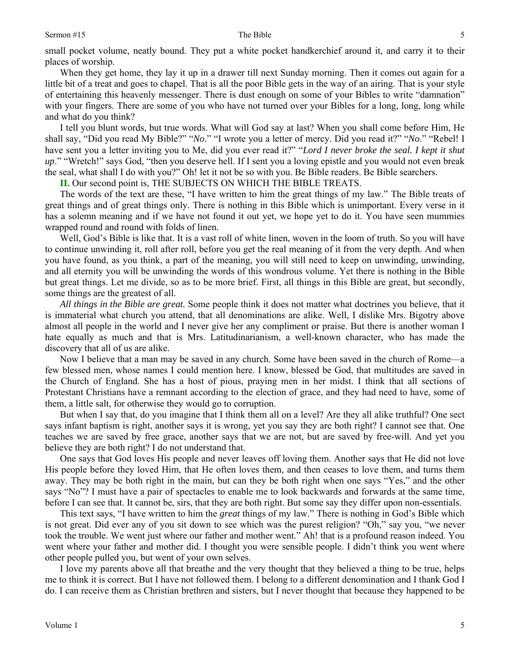### Sermon #15 The Bible

small pocket volume, neatly bound. They put a white pocket handkerchief around it, and carry it to their places of worship.

When they get home, they lay it up in a drawer till next Sunday morning. Then it comes out again for a little bit of a treat and goes to chapel. That is all the poor Bible gets in the way of an airing. That is your style of entertaining this heavenly messenger. There is dust enough on some of your Bibles to write "damnation" with your fingers. There are some of you who have not turned over your Bibles for a long, long, long while and what do you think?

I tell you blunt words, but true words. What will God say at last? When you shall come before Him, He shall say, "Did you read My Bible?" "*No*." "I wrote you a letter of mercy. Did you read it?" "*No*." "Rebel! I have sent you a letter inviting you to Me, did you ever read it?" "*Lord I never broke the seal. I kept it shut up*." "Wretch!" says God, "then you deserve hell. If I sent you a loving epistle and you would not even break the seal, what shall I do with you?" Oh! let it not be so with you. Be Bible readers. Be Bible searchers.

**II.** Our second point is, THE SUBJECTS ON WHICH THE BIBLE TREATS.

The words of the text are these, "I have written to him the great things of my law." The Bible treats of great things and of great things only. There is nothing in this Bible which is unimportant. Every verse in it has a solemn meaning and if we have not found it out yet, we hope yet to do it. You have seen mummies wrapped round and round with folds of linen.

Well, God's Bible is like that. It is a vast roll of white linen, woven in the loom of truth. So you will have to continue unwinding it, roll after roll, before you get the real meaning of it from the very depth. And when you have found, as you think, a part of the meaning, you will still need to keep on unwinding, unwinding, and all eternity you will be unwinding the words of this wondrous volume. Yet there is nothing in the Bible but great things. Let me divide, so as to be more brief. First, all things in this Bible are great, but secondly, some things are the greatest of all.

*All things in the Bible are great.* Some people think it does not matter what doctrines you believe, that it is immaterial what church you attend, that all denominations are alike. Well, I dislike Mrs. Bigotry above almost all people in the world and I never give her any compliment or praise. But there is another woman I hate equally as much and that is Mrs. Latitudinarianism, a well-known character, who has made the discovery that all of us are alike.

Now I believe that a man may be saved in any church. Some have been saved in the church of Rome—a few blessed men, whose names I could mention here. I know, blessed be God, that multitudes are saved in the Church of England. She has a host of pious, praying men in her midst. I think that all sections of Protestant Christians have a remnant according to the election of grace, and they had need to have, some of them, a little salt, for otherwise they would go to corruption.

But when I say that, do you imagine that I think them all on a level? Are they all alike truthful? One sect says infant baptism is right, another says it is wrong, yet you say they are both right? I cannot see that. One teaches we are saved by free grace, another says that we are not, but are saved by free-will. And yet you believe they are both right? I do not understand that.

One says that God loves His people and never leaves off loving them. Another says that He did not love His people before they loved Him, that He often loves them, and then ceases to love them, and turns them away. They may be both right in the main, but can they be both right when one says "Yes," and the other says "No"? I must have a pair of spectacles to enable me to look backwards and forwards at the same time, before I can see that. It cannot be, sirs, that they are both right. But some say they differ upon non-essentials.

This text says, "I have written to him the *great* things of my law." There is nothing in God's Bible which is not great. Did ever any of you sit down to see which was the purest religion? "Oh," say you, "we never took the trouble. We went just where our father and mother went." Ah! that is a profound reason indeed. You went where your father and mother did. I thought you were sensible people. I didn't think you went where other people pulled you, but went of your own selves.

I love my parents above all that breathe and the very thought that they believed a thing to be true, helps me to think it is correct. But I have not followed them. I belong to a different denomination and I thank God I do. I can receive them as Christian brethren and sisters, but I never thought that because they happened to be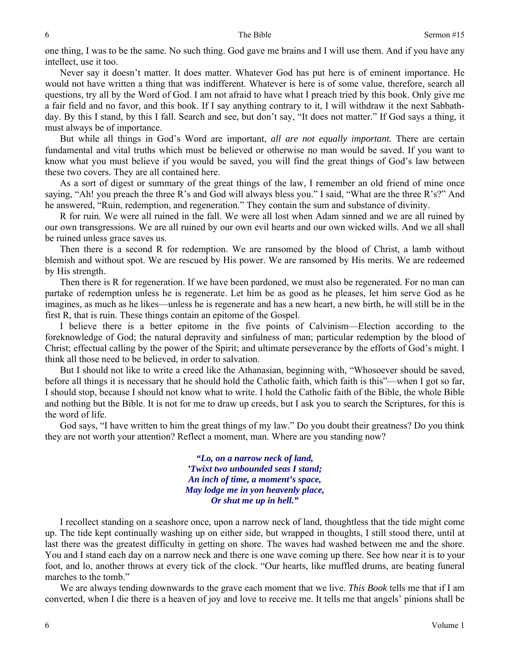one thing, I was to be the same. No such thing. God gave me brains and I will use them. And if you have any intellect, use it too.

Never say it doesn't matter. It does matter. Whatever God has put here is of eminent importance. He would not have written a thing that was indifferent. Whatever is here is of some value, therefore, search all questions, try all by the Word of God. I am not afraid to have what I preach tried by this book. Only give me a fair field and no favor, and this book. If I say anything contrary to it, I will withdraw it the next Sabbathday. By this I stand, by this I fall. Search and see, but don't say, "It does not matter." If God says a thing, it must always be of importance.

But while all things in God's Word are important, *all are not equally important.* There are certain fundamental and vital truths which must be believed or otherwise no man would be saved. If you want to know what you must believe if you would be saved, you will find the great things of God's law between these two covers. They are all contained here.

As a sort of digest or summary of the great things of the law, I remember an old friend of mine once saying, "Ah! you preach the three R's and God will always bless you." I said, "What are the three R's?" And he answered, "Ruin, redemption, and regeneration." They contain the sum and substance of divinity.

R for ruin. We were all ruined in the fall. We were all lost when Adam sinned and we are all ruined by our own transgressions. We are all ruined by our own evil hearts and our own wicked wills. And we all shall be ruined unless grace saves us.

Then there is a second R for redemption. We are ransomed by the blood of Christ, a lamb without blemish and without spot. We are rescued by His power. We are ransomed by His merits. We are redeemed by His strength.

Then there is R for regeneration. If we have been pardoned, we must also be regenerated. For no man can partake of redemption unless he is regenerate. Let him be as good as he pleases, let him serve God as he imagines, as much as he likes—unless he is regenerate and has a new heart, a new birth, he will still be in the first R, that is ruin. These things contain an epitome of the Gospel.

I believe there is a better epitome in the five points of Calvinism—Election according to the foreknowledge of God; the natural depravity and sinfulness of man; particular redemption by the blood of Christ; effectual calling by the power of the Spirit; and ultimate perseverance by the efforts of God's might. I think all those need to be believed, in order to salvation.

But I should not like to write a creed like the Athanasian, beginning with, "Whosoever should be saved, before all things it is necessary that he should hold the Catholic faith, which faith is this"—when I got so far, I should stop, because I should not know what to write. I hold the Catholic faith of the Bible, the whole Bible and nothing but the Bible. It is not for me to draw up creeds, but I ask you to search the Scriptures, for this is the word of life.

God says, "I have written to him the great things of my law." Do you doubt their greatness? Do you think they are not worth your attention? Reflect a moment, man. Where are you standing now?

> *"Lo, on a narrow neck of land, 'Twixt two unbounded seas I stand; An inch of time, a moment's space, May lodge me in yon heavenly place, Or shut me up in hell."*

I recollect standing on a seashore once, upon a narrow neck of land, thoughtless that the tide might come up. The tide kept continually washing up on either side, but wrapped in thoughts, I still stood there, until at last there was the greatest difficulty in getting on shore. The waves had washed between me and the shore. You and I stand each day on a narrow neck and there is one wave coming up there. See how near it is to your foot, and lo, another throws at every tick of the clock. "Our hearts, like muffled drums, are beating funeral marches to the tomb."

We are always tending downwards to the grave each moment that we live. *This Book* tells me that if I am converted, when I die there is a heaven of joy and love to receive me. It tells me that angels' pinions shall be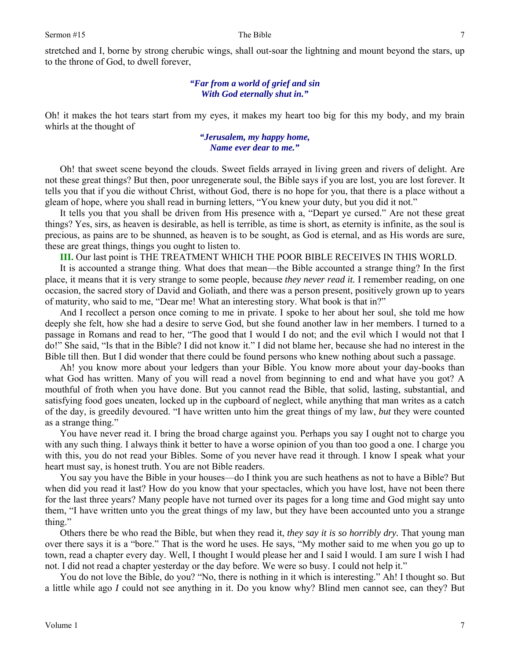stretched and I, borne by strong cherubic wings, shall out-soar the lightning and mount beyond the stars, up to the throne of God, to dwell forever,

### *"Far from a world of grief and sin With God eternally shut in."*

Oh! it makes the hot tears start from my eyes, it makes my heart too big for this my body, and my brain whirls at the thought of

> *"Jerusalem, my happy home, Name ever dear to me."*

Oh! that sweet scene beyond the clouds. Sweet fields arrayed in living green and rivers of delight. Are not these great things? But then, poor unregenerate soul, the Bible says if you are lost, you are lost forever. It tells you that if you die without Christ, without God, there is no hope for you, that there is a place without a gleam of hope, where you shall read in burning letters, "You knew your duty, but you did it not."

It tells you that you shall be driven from His presence with a, "Depart ye cursed." Are not these great things? Yes, sirs, as heaven is desirable, as hell is terrible, as time is short, as eternity is infinite, as the soul is precious, as pains are to be shunned, as heaven is to be sought, as God is eternal, and as His words are sure, these are great things, things you ought to listen to.

**III.** Our last point is THE TREATMENT WHICH THE POOR BIBLE RECEIVES IN THIS WORLD.

It is accounted a strange thing. What does that mean—the Bible accounted a strange thing? In the first place, it means that it is very strange to some people, because *they never read it.* I remember reading, on one occasion, the sacred story of David and Goliath, and there was a person present, positively grown up to years of maturity, who said to me, "Dear me! What an interesting story. What book is that in?"

And I recollect a person once coming to me in private. I spoke to her about her soul, she told me how deeply she felt, how she had a desire to serve God, but she found another law in her members. I turned to a passage in Romans and read to her, "The good that I would I do not; and the evil which I would not that I do!" She said, "Is that in the Bible? I did not know it." I did not blame her, because she had no interest in the Bible till then. But I did wonder that there could be found persons who knew nothing about such a passage.

Ah! you know more about your ledgers than your Bible. You know more about your day-books than what God has written. Many of you will read a novel from beginning to end and what have you got? A mouthful of froth when you have done. But you cannot read the Bible, that solid, lasting, substantial, and satisfying food goes uneaten, locked up in the cupboard of neglect, while anything that man writes as a catch of the day, is greedily devoured. "I have written unto him the great things of my law, *but* they were counted as a strange thing."

You have never read it. I bring the broad charge against you. Perhaps you say I ought not to charge you with any such thing. I always think it better to have a worse opinion of you than too good a one. I charge you with this, you do not read your Bibles. Some of you never have read it through. I know I speak what your heart must say, is honest truth. You are not Bible readers.

You say you have the Bible in your houses—do I think you are such heathens as not to have a Bible? But when did you read it last? How do you know that your spectacles, which you have lost, have not been there for the last three years? Many people have not turned over its pages for a long time and God might say unto them, "I have written unto you the great things of my law, but they have been accounted unto you a strange thing."

Others there be who read the Bible, but when they read it, *they say it is so horribly dry.* That young man over there says it is a "bore." That is the word he uses. He says, "My mother said to me when you go up to town, read a chapter every day. Well, I thought I would please her and I said I would. I am sure I wish I had not. I did not read a chapter yesterday or the day before. We were so busy. I could not help it."

You do not love the Bible, do you? "No, there is nothing in it which is interesting." Ah! I thought so. But a little while ago *I* could not see anything in it. Do you know why? Blind men cannot see, can they? But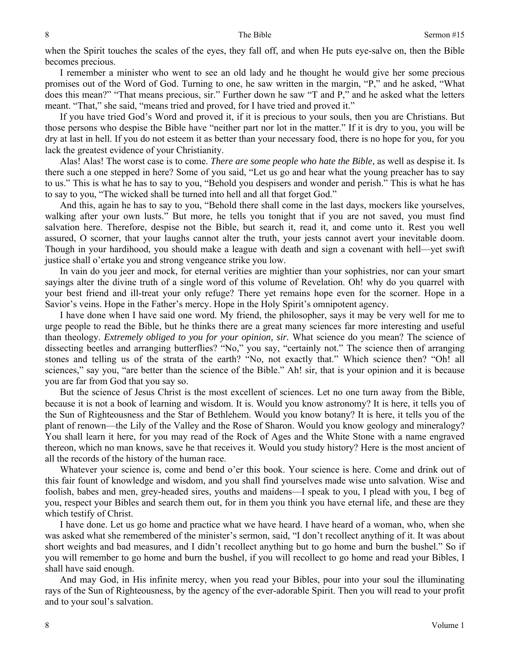when the Spirit touches the scales of the eyes, they fall off, and when He puts eye-salve on, then the Bible becomes precious.

I remember a minister who went to see an old lady and he thought he would give her some precious promises out of the Word of God. Turning to one, he saw written in the margin, "P," and he asked, "What does this mean?" "That means precious, sir." Further down he saw "T and P," and he asked what the letters meant. "That," she said, "means tried and proved, for I have tried and proved it."

If you have tried God's Word and proved it, if it is precious to your souls, then you are Christians. But those persons who despise the Bible have "neither part nor lot in the matter." If it is dry to you, you will be dry at last in hell. If you do not esteem it as better than your necessary food, there is no hope for you, for you lack the greatest evidence of your Christianity.

Alas! Alas! The worst case is to come. *There are some people who hate the Bible*, as well as despise it. Is there such a one stepped in here? Some of you said, "Let us go and hear what the young preacher has to say to us." This is what he has to say to you, "Behold you despisers and wonder and perish." This is what he has to say to you, "The wicked shall be turned into hell and all that forget God."

And this, again he has to say to you, "Behold there shall come in the last days, mockers like yourselves, walking after your own lusts." But more, he tells you tonight that if you are not saved, you must find salvation here. Therefore, despise not the Bible, but search it, read it, and come unto it. Rest you well assured, O scorner, that your laughs cannot alter the truth, your jests cannot avert your inevitable doom. Though in your hardihood, you should make a league with death and sign a covenant with hell—yet swift justice shall o'ertake you and strong vengeance strike you low.

In vain do you jeer and mock, for eternal verities are mightier than your sophistries, nor can your smart sayings alter the divine truth of a single word of this volume of Revelation. Oh! why do you quarrel with your best friend and ill-treat your only refuge? There yet remains hope even for the scorner. Hope in a Savior's veins. Hope in the Father's mercy. Hope in the Holy Spirit's omnipotent agency.

I have done when I have said one word. My friend, the philosopher, says it may be very well for me to urge people to read the Bible, but he thinks there are a great many sciences far more interesting and useful than theology. *Extremely obliged to you for your opinion, sir.* What science do you mean? The science of dissecting beetles and arranging butterflies? "No," you say, "certainly not." The science then of arranging stones and telling us of the strata of the earth? "No, not exactly that." Which science then? "Oh! all sciences," say you, "are better than the science of the Bible." Ah! sir, that is your opinion and it is because you are far from God that you say so.

But the science of Jesus Christ is the most excellent of sciences. Let no one turn away from the Bible, because it is not a book of learning and wisdom. It is. Would you know astronomy? It is here, it tells you of the Sun of Righteousness and the Star of Bethlehem. Would you know botany? It is here, it tells you of the plant of renown—the Lily of the Valley and the Rose of Sharon. Would you know geology and mineralogy? You shall learn it here, for you may read of the Rock of Ages and the White Stone with a name engraved thereon, which no man knows, save he that receives it. Would you study history? Here is the most ancient of all the records of the history of the human race.

Whatever your science is, come and bend o'er this book. Your science is here. Come and drink out of this fair fount of knowledge and wisdom, and you shall find yourselves made wise unto salvation. Wise and foolish, babes and men, grey-headed sires, youths and maidens—I speak to you, I plead with you, I beg of you, respect your Bibles and search them out, for in them you think you have eternal life, and these are they which testify of Christ.

I have done. Let us go home and practice what we have heard. I have heard of a woman, who, when she was asked what she remembered of the minister's sermon, said, "I don't recollect anything of it. It was about short weights and bad measures, and I didn't recollect anything but to go home and burn the bushel." So if you will remember to go home and burn the bushel, if you will recollect to go home and read your Bibles, I shall have said enough.

And may God, in His infinite mercy, when you read your Bibles, pour into your soul the illuminating rays of the Sun of Righteousness, by the agency of the ever-adorable Spirit. Then you will read to your profit and to your soul's salvation.